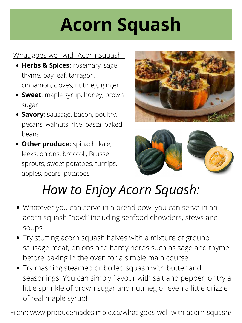- **Herbs & Spices:** rosemary, sage, thyme, bay leaf, tarragon, cinnamon, cloves, nutmeg, ginger
- **Sweet**: maple syrup, honey, brown sugar
- **Savory**: sausage, bacon, poultry, pecans, walnuts, rice, pasta, baked beans
- **Other produce:** spinach, kale, leeks, onions, broccoli, Brussel sprouts, sweet potatoes, turnips,





apples, pears, potatoes

- Whatever you can serve in a bread bowl you can serve in an acorn squash "bowl" including seafood chowders, stews and soups.
- Try stuffing acorn squash halves with a mixture of ground sausage meat, onions and hardy herbs such as sage and thyme before baking in the oven for a simple main course.
- Try mashing steamed or boiled squash with butter and seasonings. You can simply flavour with salt and pepper, or try a little sprinkle of brown sugar and nutmeg or even a little drizzle of real maple syrup!

# **Acorn Squash**

#### What goes well with Acorn Squash?

From: www.producemadesimple.ca/what-goes-well-with-acorn-squash/

## *How to Enjoy Acorn Squash:*